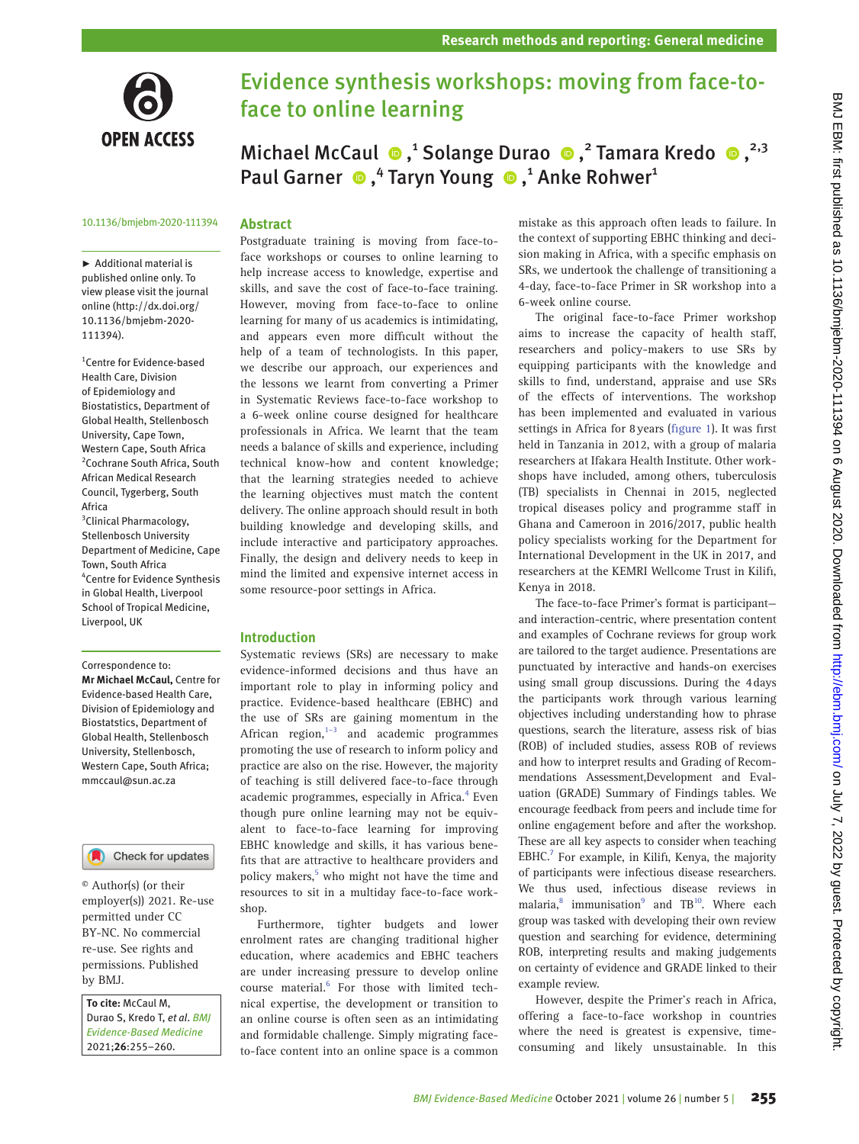

# Evidence synthesis workshops: moving from face-toface to online learning

Michael McCaul <sup>®</sup>,<sup>1</sup> Solange Durao <sup>®</sup>,<sup>2</sup> Tamara Kredo <sup>®</sup>,<sup>2,3</sup> Paul Garner <sup>®</sup>,<sup>4</sup> Taryn Young <sup>®</sup>,<sup>1</sup> Anke Rohwer<sup>1</sup>

### 10.1136/bmjebm-2020-111394

## **Abstract**

► Additional material is published online only. To view please visit the journal online (http://dx.doi.org/ 10.1136/bmjebm-2020- 111394).

1 Centre for Evidence-based Health Care, Division of Epidemiology and Biostatistics, Department of Global Health, Stellenbosch University, Cape Town, Western Cape, South Africa <sup>2</sup> Cochrane South Africa, South African Medical Research Council, Tygerberg, South Africa <sup>3</sup> Clinical Pharmacology, Stellenbosch University Department of Medicine, Cape Town, South Africa 4 Centre for Evidence Synthesis in Global Health, Liverpool School of Tropical Medicine, Liverpool, UK

Correspondence to: *Mr Michael McCaul,* Centre for Evidence-based Health Care, Division of Epidemiology and Biostatstics, Department of Global Health, Stellenbosch University, Stellenbosch, Western Cape, South Africa; mmccaul@sun.ac.za

# Check for updates

© Author(s) (or their employer(s)) 2021. Re-use permitted under CC BY-NC. No commercial re-use. See rights and permissions. Published by BMJ.

*To cite:* McCaul M, Durao S, Kredo T, *et al*. *BMJ Evidence-Based Medicine* 2021;*26*:255–260.

Postgraduate training is moving from face-toface workshops or courses to online learning to help increase access to knowledge, expertise and skills, and save the cost of face-to-face training. However, moving from face-to-face to online learning for many of us academics is intimidating, and appears even more difficult without the help of a team of technologists. In this paper, we describe our approach, our experiences and the lessons we learnt from converting a Primer in Systematic Reviews face-to-face workshop to a 6-week online course designed for healthcare professionals in Africa. We learnt that the team needs a balance of skills and experience, including technical know-how and content knowledge; that the learning strategies needed to achieve the learning objectives must match the content delivery. The online approach should result in both building knowledge and developing skills, and include interactive and participatory approaches. Finally, the design and delivery needs to keep in mind the limited and expensive internet access in some resource-poor settings in Africa.

## **Introduction**

Systematic reviews (SRs) are necessary to make evidence-informed decisions and thus have an important role to play in informing policy and practice. Evidence-based healthcare (EBHC) and the use of SRs are gaining momentum in the African region, $1-3$  and academic programmes promoting the use of research to inform policy and practice are also on the rise. However, the majority of teaching is still delivered face-to-face through academic programmes, especially in Africa.<sup>4</sup> Even though pure online learning may not be equivalent to face-to-face learning for improving EBHC knowledge and skills, it has various benefits that are attractive to healthcare providers and policy makers,<sup>5</sup> who might not have the time and resources to sit in a multiday face-to-face workshop.

Furthermore, tighter budgets and lower enrolment rates are changing traditional higher education, where academics and EBHC teachers are under increasing pressure to develop online course material.<sup>6</sup> For those with limited technical expertise, the development or transition to an online course is often seen as an intimidating and formidable challenge. Simply migrating faceto-face content into an online space is a common

mistake as this approach often leads to failure. In the context of supporting EBHC thinking and decision making in Africa, with a specific emphasis on SRs, we undertook the challenge of transitioning a 4-day, face-to-face Primer in SR workshop into a 6-week online course.

The original face-to-face Primer workshop aims to increase the capacity of health staff, researchers and policy-makers to use SRs by equipping participants with the knowledge and skills to find, understand, appraise and use SRs of the effects of interventions. The workshop has been implemented and evaluated in various settings in Africa for 8years (figure 1). It was first held in Tanzania in 2012, with a group of malaria researchers at Ifakara Health Institute. Other workshops have included, among others, tuberculosis (TB) specialists in Chennai in 2015, neglected tropical diseases policy and programme staff in Ghana and Cameroon in 2016/2017, public health policy specialists working for the Department for International Development in the UK in 2017, and researchers at the KEMRI Wellcome Trust in Kilifi, Kenya in 2018.

The face-to-face Primer's format is participant and interaction-centric, where presentation content and examples of Cochrane reviews for group work are tailored to the target audience. Presentations are punctuated by interactive and hands-on exercises using small group discussions. During the 4days the participants work through various learning objectives including understanding how to phrase questions, search the literature, assess risk of bias (ROB) of included studies, assess ROB of reviews and how to interpret results and Grading of Recommendations Assessment,Development and Evaluation (GRADE) Summary of Findings tables. We encourage feedback from peers and include time for online engagement before and after the workshop. These are all key aspects to consider when teaching EBHC. $^7$  For example, in Kilifi, Kenya, the majority of participants were infectious disease researchers. We thus used, infectious disease reviews in malaria, $8$  immunisation $9$  and TB<sup>10</sup>. Where each group was tasked with developing their own review question and searching for evidence, determining ROB, interpreting results and making judgements on certainty of evidence and GRADE linked to their example review.

However, despite the Primer'*s* reach in Africa, offering a face-to-face workshop in countries where the need is greatest is expensive, timeconsuming and likely unsustainable. In this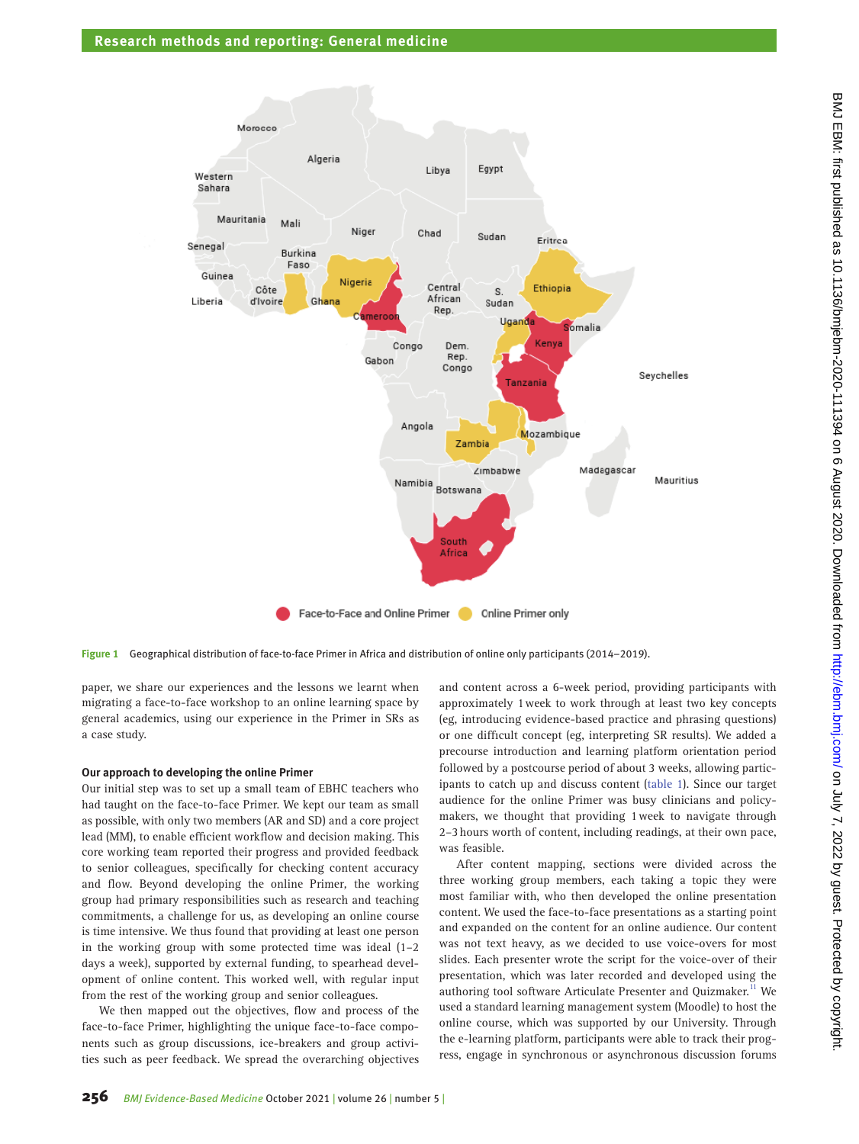

**Figure 1** Geographical distribution of face-to-face Primer in Africa and distribution of online only participants (2014–2019).

paper, we share our experiences and the lessons we learnt when migrating a face-to-face workshop to an online learning space by general academics, using our experience in the Primer in SRs as a case study.

#### **Our approach to developing the online Primer**

Our initial step was to set up a small team of EBHC teachers who had taught on the face-to-face Primer. We kept our team as small as possible, with only two members (AR and SD) and a core project lead (MM), to enable efficient workflow and decision making. This core working team reported their progress and provided feedback to senior colleagues, specifically for checking content accuracy and flow. Beyond developing the online Primer*,* the working group had primary responsibilities such as research and teaching commitments, a challenge for us, as developing an online course is time intensive. We thus found that providing at least one person in the working group with some protected time was ideal (1–2 days a week), supported by external funding, to spearhead development of online content. This worked well, with regular input from the rest of the working group and senior colleagues.

We then mapped out the objectives, flow and process of the face-to-face Primer, highlighting the unique face-to-face components such as group discussions, ice-breakers and group activities such as peer feedback. We spread the overarching objectives

and content across a 6-week period, providing participants with approximately 1week to work through at least two key concepts (eg, introducing evidence-based practice and phrasing questions) or one difficult concept (eg, interpreting SR results). We added a precourse introduction and learning platform orientation period followed by a postcourse period of about 3 weeks, allowing participants to catch up and discuss content (table 1). Since our target audience for the online Primer was busy clinicians and policymakers, we thought that providing 1week to navigate through 2–3hours worth of content, including readings, at their own pace, was feasible.

After content mapping, sections were divided across the three working group members, each taking a topic they were most familiar with, who then developed the online presentation content. We used the face-to-face presentations as a starting point and expanded on the content for an online audience. Our content was not text heavy, as we decided to use voice-overs for most slides. Each presenter wrote the script for the voice-over of their presentation, which was later recorded and developed using the authoring tool software Articulate Presenter and Quizmaker.<sup>11</sup> We used a standard learning management system (Moodle) to host the online course, which was supported by our University. Through the e-learning platform, participants were able to track their progress, engage in synchronous or asynchronous discussion forums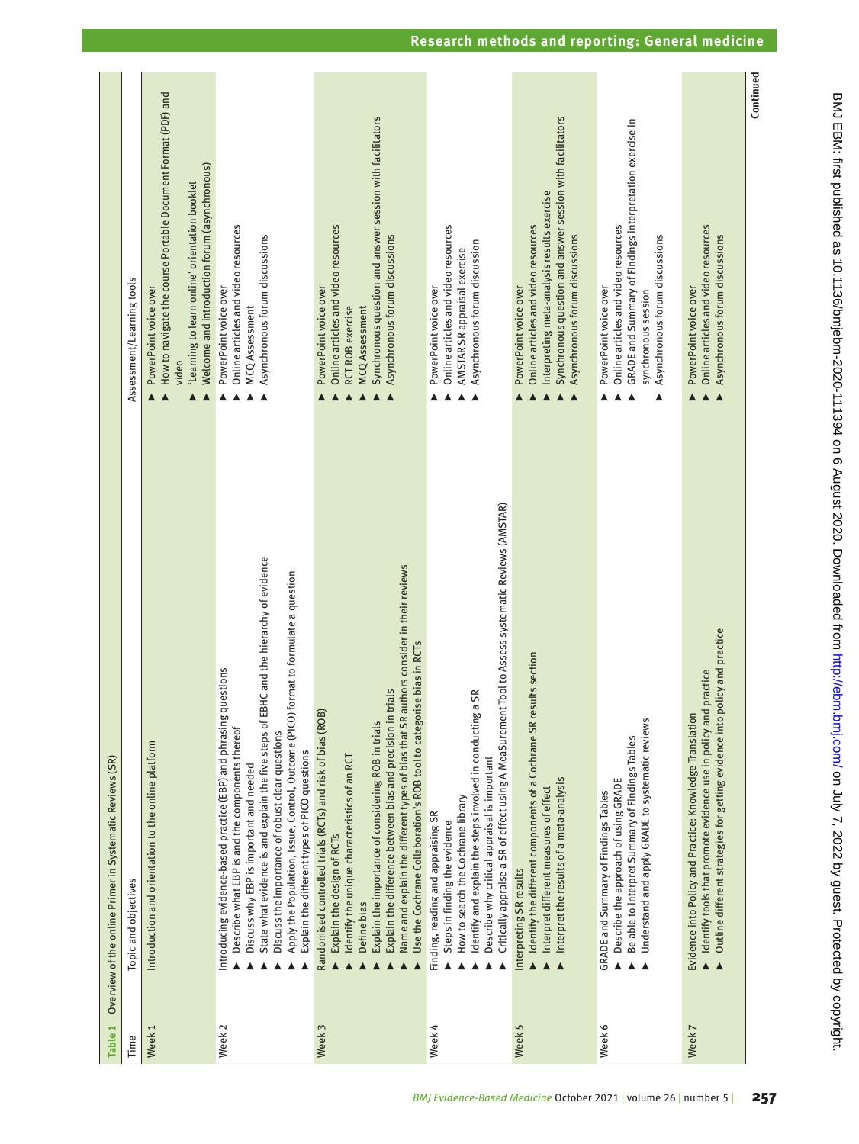| Table 1           | Overview of the online Primer in Systematic Reviews (SR)                                                                                                                                                                                                                                                                                                                                                                                                 |                                                                                                                                                                                                                        |
|-------------------|----------------------------------------------------------------------------------------------------------------------------------------------------------------------------------------------------------------------------------------------------------------------------------------------------------------------------------------------------------------------------------------------------------------------------------------------------------|------------------------------------------------------------------------------------------------------------------------------------------------------------------------------------------------------------------------|
| Time              | Topic and objectives                                                                                                                                                                                                                                                                                                                                                                                                                                     | Assessment/Learning tools                                                                                                                                                                                              |
| Week <sub>1</sub> | Introduction and orientation to the online platform                                                                                                                                                                                                                                                                                                                                                                                                      | How to navigate the course Portable Document Format (PDF) and<br>Welcome and introduction forum (asynchronous)<br>'Learning to learn online' orientation booklet<br>PowerPoint voice over<br>video<br>$\blacktriangle$ |
| Week <sub>2</sub> | State what evidence is and explain the five steps of EBHC and the hierarchy of evidence<br>format to formulate a question<br>Introducing evidence-based practice (EBP) and phrasing questions<br>Apply the Population, Issue, Control, Outcome (PICO)<br>Describe what EBP is and the components thereof<br>Discuss the importance of robust clear questions<br>Explain the different types of PICO questions<br>Discuss why EBP is important and needed | Online articles and video resources<br>Asynchronous forum discussions<br>PowerPoint voice over<br>MCQ Assessment                                                                                                       |
| Week <sub>3</sub> | Name and explain the different types of bias that SR authors consider in their reviews<br>Use the Cochrane Collaboration's ROB tool to categorise bias in RCTs<br>Explain the difference between bias and precision in trials<br>Randomised controlled trials (RCTs) and risk of bias (ROB)<br>Explain the importance of considering ROB in trials<br>Identify the unique characteristics of an RCT<br>Explain the design of RCTs<br>Define bias         | Synchronous question and answer session with facilitators<br>Online articles and video resources<br>Asynchronous forum discussions<br>PowerPoint voice over<br>RCT ROB exercise<br>MCQ Assessment                      |
| Week 4            | Critically appraise a SR of effect using A MeaSurement Tool to Assess systematic Reviews (AMSTAR)<br>Identify and explain the steps involved in conducting a SR<br>Describe why critical appraisal is important<br>How to search the Cochrane library<br>Finding, reading and appraising SR<br>Steps in finding the evidence                                                                                                                             | Online articles and video resources<br>Asynchronous forum discussion<br>AMSTAR SR appraisal exercise<br>PowerPoint voice over                                                                                          |
| Week 5            | Identify the different components of a Cochrane SR results section<br>Interpret the results of a meta-analysis<br>Interpret different measures of effect<br>Interpreting SR results                                                                                                                                                                                                                                                                      | Synchronous question and answer session with facilitators<br>Interpreting meta-analysis results exercise<br>Online articles and video resources<br>Asynchronous forum discussions<br>PowerPoint voice over             |
| Week 6            | Understand and apply GRADE to systematic reviews<br>Be able to interpret Summary of Findings Tables<br>Describe the approach of using GRADE<br>GRADE and Summary of Findings Tables                                                                                                                                                                                                                                                                      | GRADE and Summary of Findings interpretation exercise in<br>Online articles and video resources<br>Asynchronous forum discussions<br>PowerPoint voice over<br>synchronous session<br>▲                                 |
| Week 7            | Outline different strategies for getting evidence into policy and practice<br>practice<br>Identify tools that promote evidence use in policy and<br>Evidence into Policy and Practice: Knowledge Translation                                                                                                                                                                                                                                             | Online articles and video resources<br>Asynchronous forum discussions<br>PowerPoint voice over<br>$\blacktriangle$<br>$\blacktriangle$<br>▲                                                                            |
|                   |                                                                                                                                                                                                                                                                                                                                                                                                                                                          | Continued                                                                                                                                                                                                              |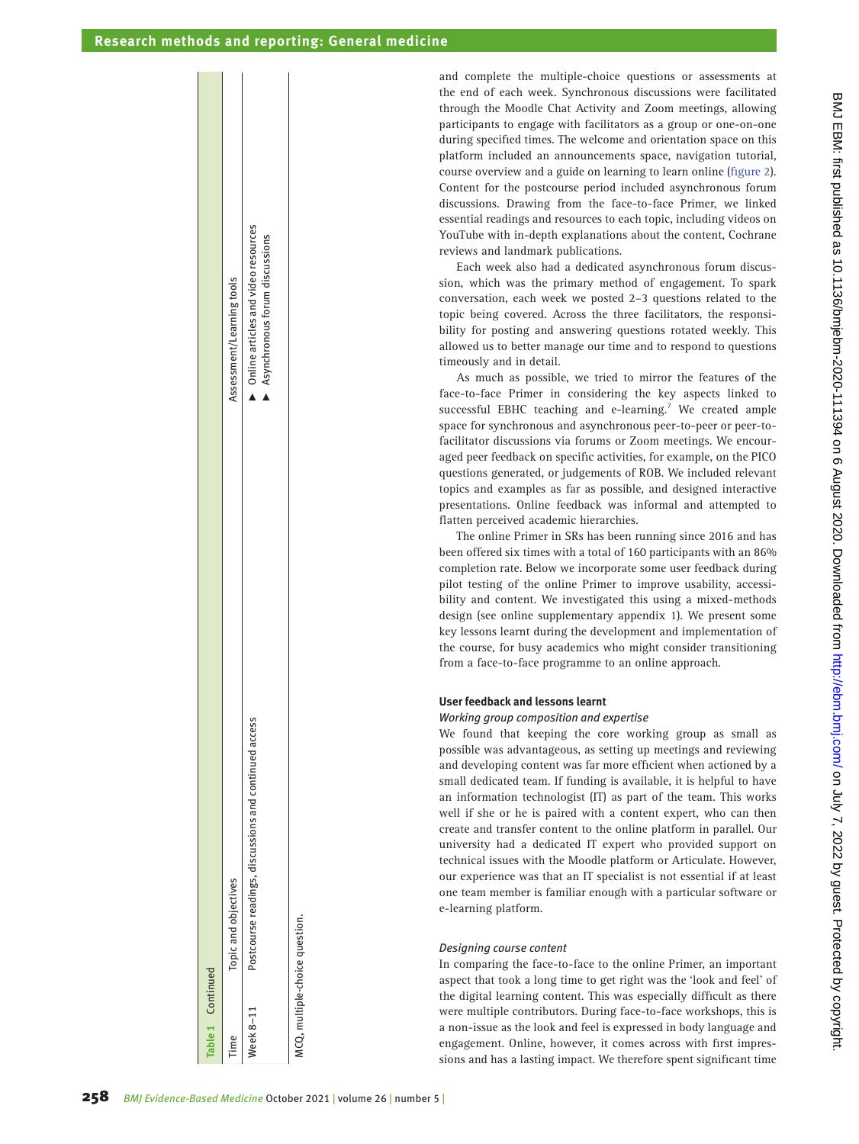and complete the multiple-choice questions or assessments at the end of each week. Synchronous discussions were facilitated through the Moodle Chat Activity and Zoom meetings, allowing participants to engage with facilitators as a group or one-on-one during specified times. The welcome and orientation space on this platform included an announcements space, navigation tutorial, course overview and a guide on learning to learn online (figure 2). Content for the postcourse period included asynchronous forum discussions. Drawing from the face-to-face Primer, we linked essential readings and resources to each topic, including videos on YouTube with in-depth explanations about the content, Cochrane reviews and landmark publications.

Each week also had a dedicated asynchronous forum discussion, which was the primary method of engagement. To spark conversation, each week we posted 2–3 questions related to the topic being covered. Across the three facilitators, the responsibility for posting and answering questions rotated weekly. This allowed us to better manage our time and to respond to questions timeously and in detail.

As much as possible, we tried to mirror the features of the face-to-face Primer in considering the key aspects linked to successful EBHC teaching and e-learning.<sup>7</sup> We created ample space for synchronous and asynchronous peer-to-peer or peer-tofacilitator discussions via forums or Zoom meetings. We encouraged peer feedback on specific activities, for example, on the PICO questions generated, or judgements of ROB. We included relevant topics and examples as far as possible, and designed interactive presentations. Online feedback was informal and attempted to flatten perceived academic hierarchies.

The online Primer in SRs has been running since 2016 and has been offered six times with a total of 160 participants with an 86% completion rate. Below we incorporate some user feedback during pilot testing of the online Primer to improve usability, accessibility and content. We investigated this using a mixed-methods design (see online supplementary appendix 1). We present some key lessons learnt during the development and implementation of the course, for busy academics who might consider transitioning from a face-to-face programme to an online approach.

## **User feedback and lessons learnt**

#### *Working group composition and expertise*

We found that keeping the core working group as small as possible was advantageous, as setting up meetings and reviewing and developing content was far more efficient when actioned by a small dedicated team. If funding is available, it is helpful to have an information technologist (IT) as part of the team. This works well if she or he is paired with a content expert, who can then create and transfer content to the online platform in parallel. Our university had a dedicated IT expert who provided support on technical issues with the Moodle platform or Articulate. However, our experience was that an IT specialist is not essential if at least one team member is familiar enough with a particular software or e-learning platform.

## *Designing course content*

In comparing the face-to-face to the online Primer, an important aspect that took a long time to get right was the 'look and feel' of the digital learning content. This was especially difficult as there were multiple contributors. During face-to-face workshops, this is a non-issue as the look and feel is expressed in body language and engagement. Online, however, it comes across with first impressions and has a lasting impact. We therefore spent significant time

| Table 1 Continued |                                                           |                                                                         |
|-------------------|-----------------------------------------------------------|-------------------------------------------------------------------------|
| lime              | Topic and objectives                                      | Assessment/Learning tools                                               |
| Week 8-11         | d access<br>Postcourse readings, discussions and continue | • Online articles and video resources<br>Asynchronous forum discussions |
|                   | MCQ, multiple-choice question.                            |                                                                         |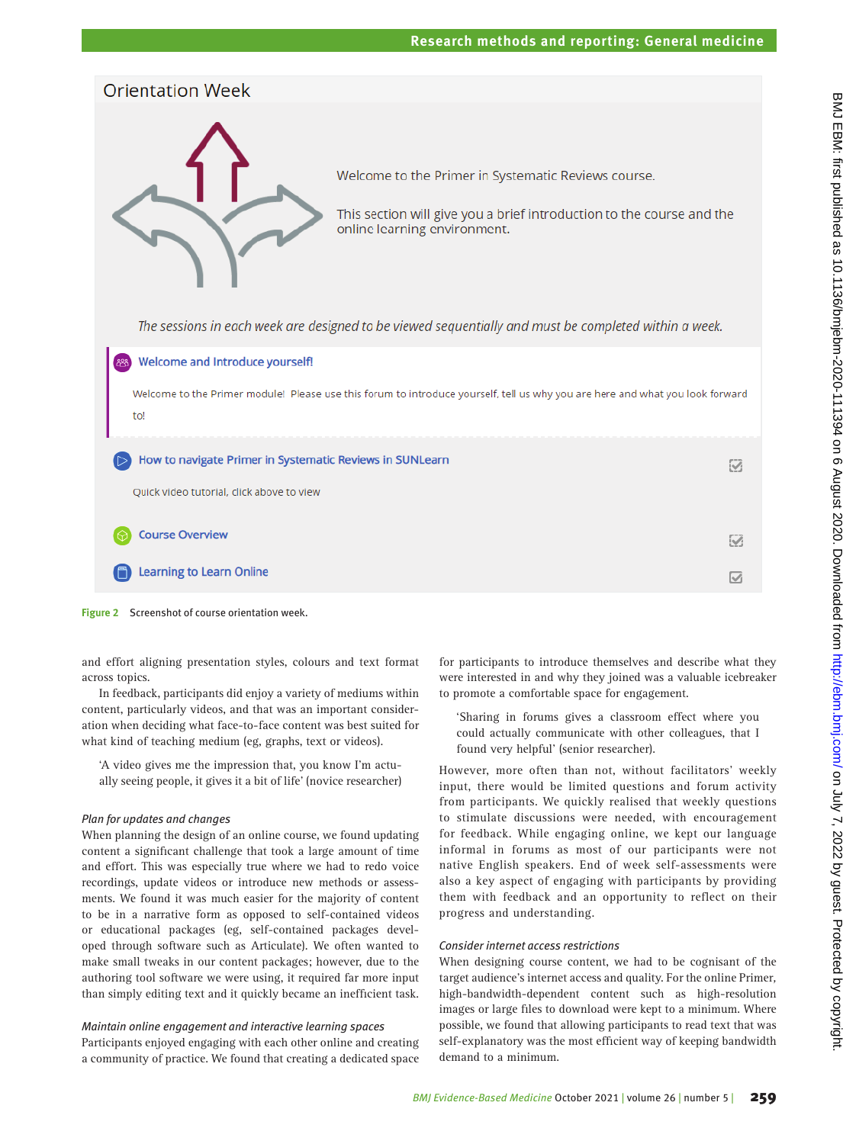

**Figure 2** Screenshot of course orientation week.

and effort aligning presentation styles, colours and text format across topics.

In feedback, participants did enjoy a variety of mediums within content, particularly videos, and that was an important consideration when deciding what face-to-face content was best suited for what kind of teaching medium (eg, graphs, text or videos).

'A video gives me the impression that, you know I'm actually seeing people, it gives it a bit of life' (novice researcher)

# *Plan for updates and changes*

When planning the design of an online course, we found updating content a significant challenge that took a large amount of time and effort. This was especially true where we had to redo voice recordings, update videos or introduce new methods or assessments. We found it was much easier for the majority of content to be in a narrative form as opposed to self-contained videos or educational packages (eg, self-contained packages developed through software such as Articulate). We often wanted to make small tweaks in our content packages; however, due to the authoring tool software we were using, it required far more input than simply editing text and it quickly became an inefficient task.

## *Maintain online engagement and interactive learning spaces* Participants enjoyed engaging with each other online and creating

a community of practice. We found that creating a dedicated space

for participants to introduce themselves and describe what they were interested in and why they joined was a valuable icebreaker to promote a comfortable space for engagement.

'Sharing in forums gives a classroom effect where you could actually communicate with other colleagues, that I found very helpful' (senior researcher).

However, more often than not, without facilitators' weekly input, there would be limited questions and forum activity from participants. We quickly realised that weekly questions to stimulate discussions were needed, with encouragement for feedback. While engaging online, we kept our language informal in forums as most of our participants were not native English speakers. End of week self-assessments were also a key aspect of engaging with participants by providing them with feedback and an opportunity to reflect on their progress and understanding.

## *Consider internet access restrictions*

When designing course content, we had to be cognisant of the target audience's internet access and quality. For the online Primer*,* high-bandwidth-dependent content such as high-resolution images or large files to download were kept to a minimum. Where possible, we found that allowing participants to read text that was self-explanatory was the most efficient way of keeping bandwidth demand to a minimum.